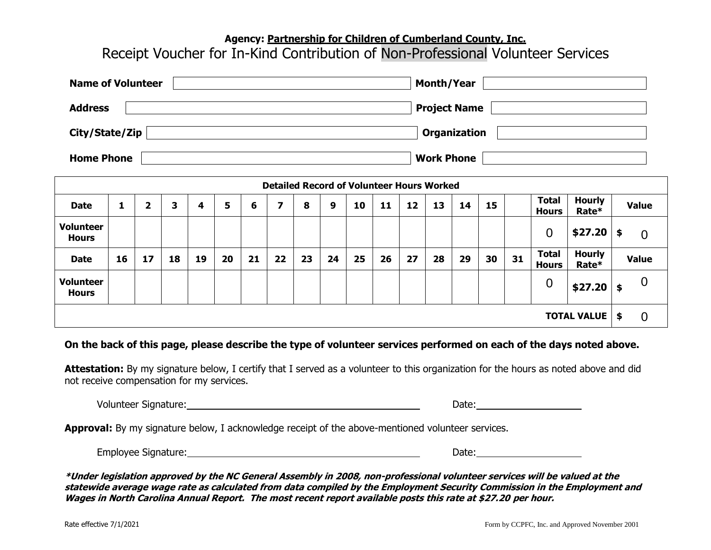## **Agency: Partnership for Children of Cumberland County, Inc.**

## Receipt Voucher for In-Kind Contribution of Non-Professional Volunteer Services

| <b>Name of Volunteer</b> | <b>Month/Year</b>   |
|--------------------------|---------------------|
| <b>Address</b>           | <b>Project Name</b> |
| City/State/Zip           | <b>Organization</b> |
| <b>Home Phone</b>        | <b>Work Phone</b>   |

| <b>Detailed Record of Volunteer Hours Worked</b> |    |                         |    |    |    |    |    |    |    |                |    |    |    |    |    |    |                              |                        |    |                |
|--------------------------------------------------|----|-------------------------|----|----|----|----|----|----|----|----------------|----|----|----|----|----|----|------------------------------|------------------------|----|----------------|
| <b>Date</b>                                      | 1  | $\overline{\mathbf{2}}$ | з  | 4  | 5  | 6  | 7  | 8  | 9  | 10             | 11 | 12 | 13 | 14 | 15 |    | <b>Total</b><br><b>Hours</b> | <b>Hourly</b><br>Rate* |    | <b>Value</b>   |
| <b>Volunteer</b><br><b>Hours</b>                 |    |                         |    |    |    |    |    |    |    |                |    |    |    |    |    |    | 0                            | \$27.20                | \$ | $\overline{0}$ |
| <b>Date</b>                                      | 16 | 17                      | 18 | 19 | 20 | 21 | 22 | 23 | 24 | 25             | 26 | 27 | 28 | 29 | 30 | 31 | <b>Total</b><br><b>Hours</b> | <b>Hourly</b><br>Rate* |    | <b>Value</b>   |
| <b>Volunteer</b><br><b>Hours</b>                 |    |                         |    |    |    |    |    |    |    |                |    |    |    |    |    |    | 0                            | \$27.20                | \$ | 0              |
| <b>TOTAL VALUE</b>                               |    |                         |    |    |    |    |    |    | \$ | $\overline{0}$ |    |    |    |    |    |    |                              |                        |    |                |

## **On the back of this page, please describe the type of volunteer services performed on each of the days noted above.**

**Attestation:** By my signature below, I certify that I served as a volunteer to this organization for the hours as noted above and did not receive compensation for my services.

| Volunteer Signature: | Date |  |
|----------------------|------|--|
|                      |      |  |

**Approval:** By my signature below, I acknowledge receipt of the above-mentioned volunteer services.

| Employee Signature:<br>. . | Date |
|----------------------------|------|
|----------------------------|------|

**\*Under legislation approved by the NC General Assembly in 2008, non-professional volunteer services will be valued at the statewide average wage rate as calculated from data compiled by the Employment Security Commission in the Employment and Wages in North Carolina Annual Report. The most recent report available posts this rate at \$27.20 per hour.**